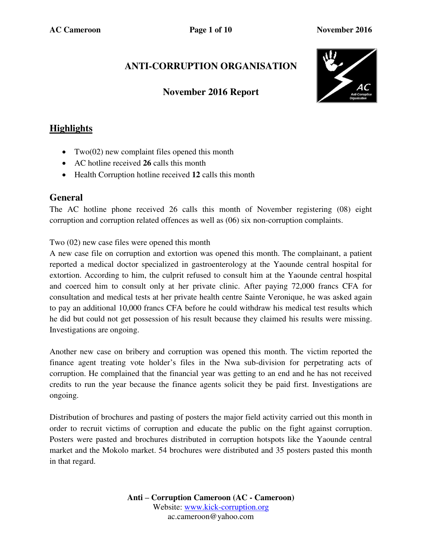# **ANTI-CORRUPTION ORGANISATION**

### **November 2016 Report**



## **Highlights**

- Two( $02$ ) new complaint files opened this month
- AC hotline received **26** calls this month
- Health Corruption hotline received **12** calls this month

### **General**

The AC hotline phone received 26 calls this month of November registering (08) eight corruption and corruption related offences as well as (06) six non-corruption complaints.

Two (02) new case files were opened this month

A new case file on corruption and extortion was opened this month. The complainant, a patient reported a medical doctor specialized in gastroenterology at the Yaounde central hospital for extortion. According to him, the culprit refused to consult him at the Yaounde central hospital and coerced him to consult only at her private clinic. After paying 72,000 francs CFA for consultation and medical tests at her private health centre Sainte Veronique, he was asked again to pay an additional 10,000 francs CFA before he could withdraw his medical test results which he did but could not get possession of his result because they claimed his results were missing. Investigations are ongoing.

Another new case on bribery and corruption was opened this month. The victim reported the finance agent treating vote holder's files in the Nwa sub-division for perpetrating acts of corruption. He complained that the financial year was getting to an end and he has not received credits to run the year because the finance agents solicit they be paid first. Investigations are ongoing.

Distribution of brochures and pasting of posters the major field activity carried out this month in order to recruit victims of corruption and educate the public on the fight against corruption. Posters were pasted and brochures distributed in corruption hotspots like the Yaounde central market and the Mokolo market. 54 brochures were distributed and 35 posters pasted this month in that regard.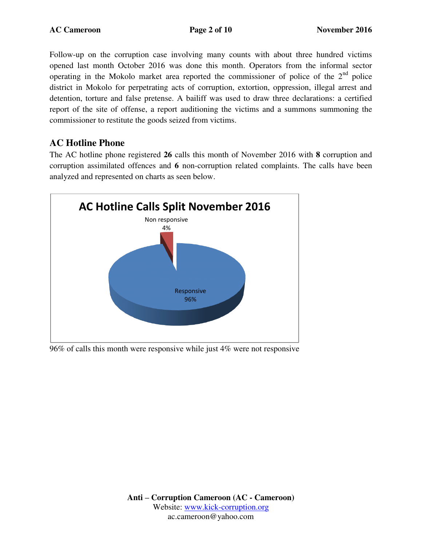Follow-up on the corruption case involving many counts with about three hundred victims opened last month October 2016 was done this month. Operators from the informal sector operating in the Mokolo market area reported the commissioner of police of the  $2<sup>nd</sup>$  police district in Mokolo for perpetrating acts of corruption, extortion, oppression, illegal arrest and detention, torture and false pretense. A bailiff was used to draw three declarations: a certified report of the site of offense, a report auditioning the victims and a summons summoning the commissioner to restitute the goods seized from victims.

## **AC Hotline Phone**

The AC hotline phone registered **26** calls this month of November 2016 with **8** corruption and corruption assimilated offences and **6** non-corruption related complaints. The calls have been analyzed and represented on charts as seen below.



96% of calls this month were responsive while just 4% were not responsive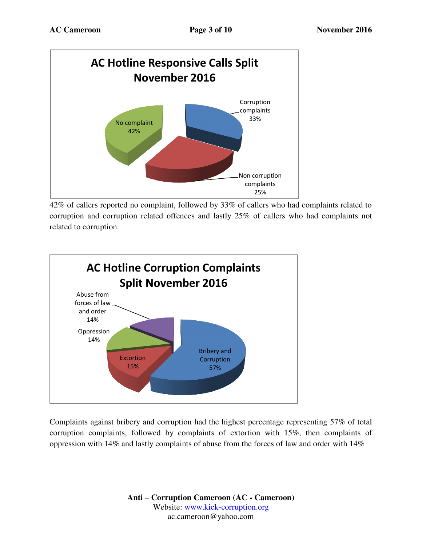

42% of callers reported no complaint, followed by 33% of callers who had complaints related to corruption and corruption related offences and lastly 25% of callers who had complaints not related to corruption.



Complaints against bribery and corruption had the highest percentage representing 57% of total corruption complaints, followed by complaints of extortion with 15%, then complaints of oppression with 14% and lastly complaints of abuse from the forces of law and order with 14%

> **Anti – Corruption Cameroon (AC - Cameroon)** Website: [www.kick-corruption.org](http://www.kick-corruption.org/) ac.cameroon@yahoo.com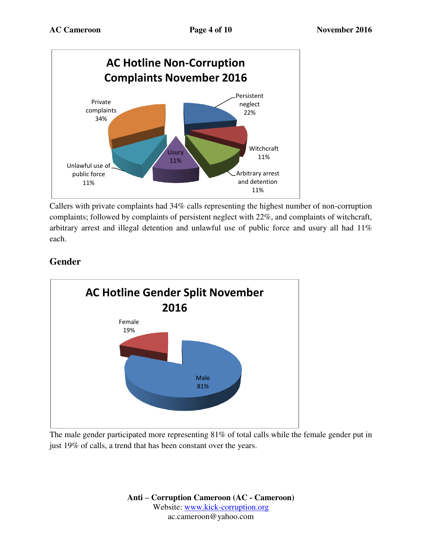

Callers with private complaints had 34% calls representing the highest number of non-corruption complaints; followed by complaints of persistent neglect with 22%, and complaints of witchcraft, arbitrary arrest and illegal detention and unlawful use of public force and usury all had 11% each.

## **Gender**



The male gender participated more representing 81% of total calls while the female gender put in just 19% of calls, a trend that has been constant over the years.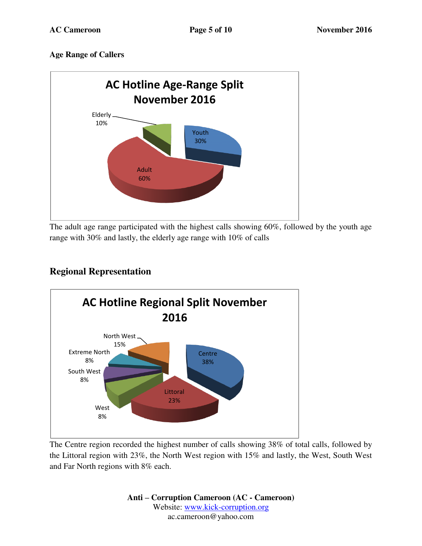### **Age Range of Callers**



The adult age range participated with the highest calls showing 60%, followed by the youth age range with 30% and lastly, the elderly age range with 10% of calls

## **Regional Representation**



The Centre region recorded the highest number of calls showing 38% of total calls, followed by the Littoral region with 23%, the North West region with 15% and lastly, the West, South West and Far North regions with 8% each.

> **Anti – Corruption Cameroon (AC - Cameroon)** Website: [www.kick-corruption.org](http://www.kick-corruption.org/) ac.cameroon@yahoo.com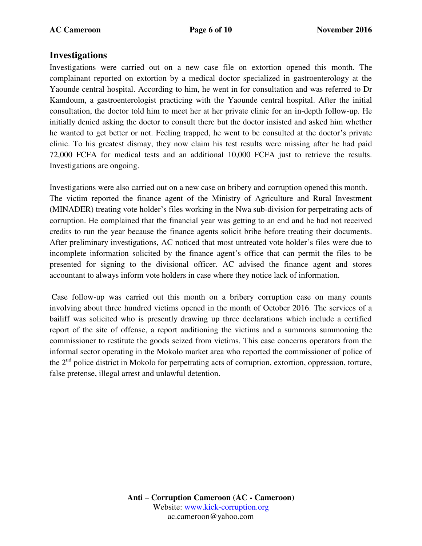### **Investigations**

Investigations were carried out on a new case file on extortion opened this month. The complainant reported on extortion by a medical doctor specialized in gastroenterology at the Yaounde central hospital. According to him, he went in for consultation and was referred to Dr Kamdoum, a gastroenterologist practicing with the Yaounde central hospital. After the initial consultation, the doctor told him to meet her at her private clinic for an in-depth follow-up. He initially denied asking the doctor to consult there but the doctor insisted and asked him whether he wanted to get better or not. Feeling trapped, he went to be consulted at the doctor's private clinic. To his greatest dismay, they now claim his test results were missing after he had paid 72,000 FCFA for medical tests and an additional 10,000 FCFA just to retrieve the results. Investigations are ongoing.

Investigations were also carried out on a new case on bribery and corruption opened this month. The victim reported the finance agent of the Ministry of Agriculture and Rural Investment (MINADER) treating vote holder's files working in the Nwa sub-division for perpetrating acts of corruption. He complained that the financial year was getting to an end and he had not received credits to run the year because the finance agents solicit bribe before treating their documents. After preliminary investigations, AC noticed that most untreated vote holder's files were due to incomplete information solicited by the finance agent's office that can permit the files to be presented for signing to the divisional officer. AC advised the finance agent and stores accountant to always inform vote holders in case where they notice lack of information.

 Case follow-up was carried out this month on a bribery corruption case on many counts involving about three hundred victims opened in the month of October 2016. The services of a bailiff was solicited who is presently drawing up three declarations which include a certified report of the site of offense, a report auditioning the victims and a summons summoning the commissioner to restitute the goods seized from victims. This case concerns operators from the informal sector operating in the Mokolo market area who reported the commissioner of police of the  $2<sup>nd</sup>$  police district in Mokolo for perpetrating acts of corruption, extortion, oppression, torture, false pretense, illegal arrest and unlawful detention.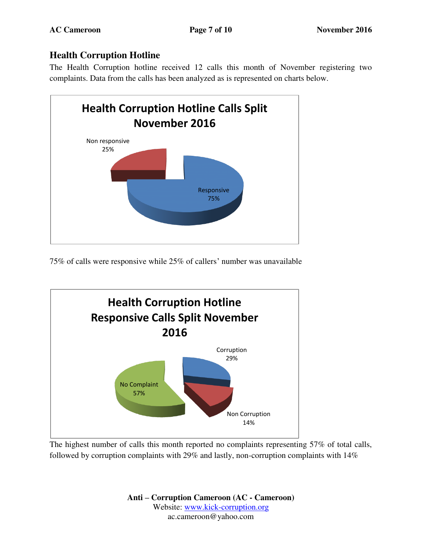# **Health Corruption Hotline**

The Health Corruption hotline received 12 calls this month of November registering two complaints. Data from the calls has been analyzed as is represented on charts below.



75% of calls were responsive while 25% of callers' number was unavailable



The highest number of calls this month reported no complaints representing 57% of total calls, followed by corruption complaints with 29% and lastly, non-corruption complaints with 14%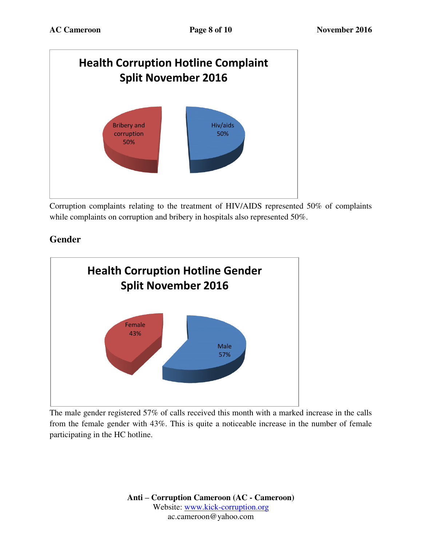

Corruption complaints relating to the treatment of HIV/AIDS represented 50% of complaints while complaints on corruption and bribery in hospitals also represented 50%.

## **Gender**



The male gender registered 57% of calls received this month with a marked increase in the calls from the female gender with 43%. This is quite a noticeable increase in the number of female participating in the HC hotline.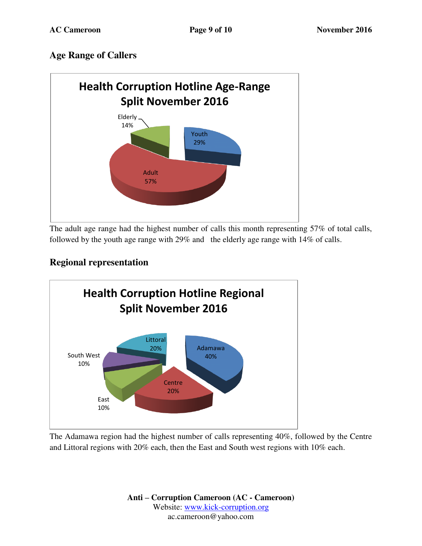### **Age Range of Callers**



The adult age range had the highest number of calls this month representing 57% of total calls, followed by the youth age range with 29% and the elderly age range with 14% of calls.

## **Regional representation**



The Adamawa region had the highest number of calls representing 40%, followed by the Centre and Littoral regions with 20% each, then the East and South west regions with 10% each.